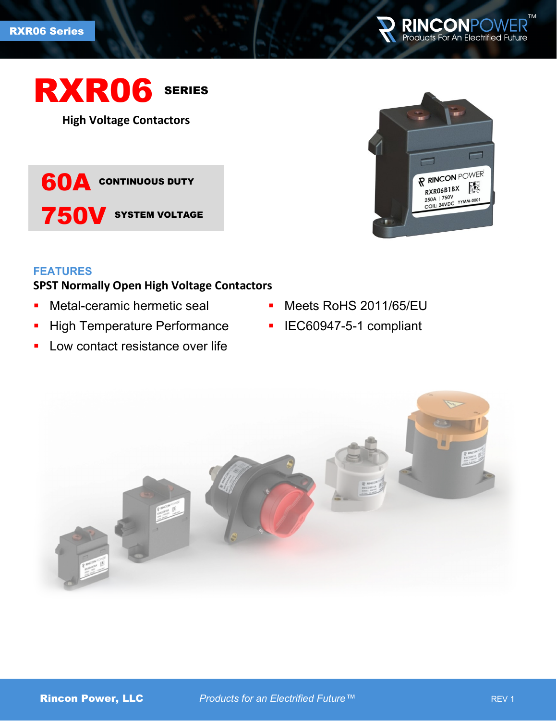



**High Voltage Contactors**

**60A** CONTINUOUS DUTY 750V SYSTEM VOLTAGE



### **FEATURES**

# **SPST Normally Open High Voltage Contactors**

- **Netal-ceramic hermetic seal**
- **High Temperature Performance**
- **Low contact resistance over life**
- **Meets RoHS 2011/65/EU**
- **IEC60947-5-1 compliant**

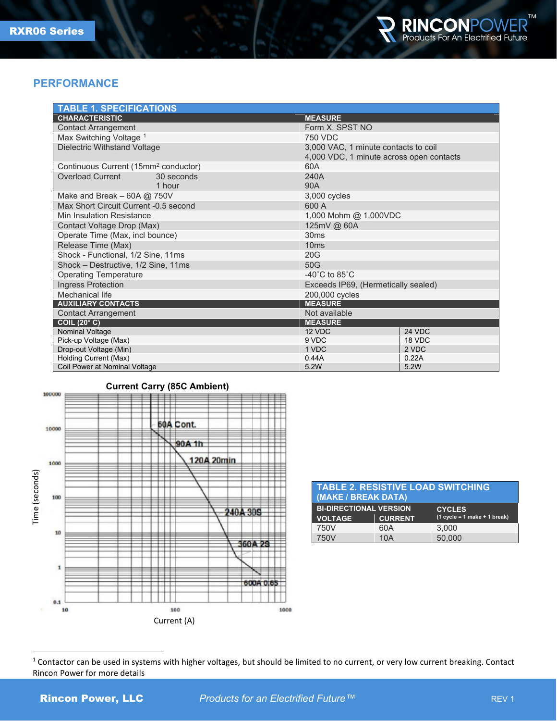

#### **PERFORMANCE**

| <b>TABLE 1. SPECIFICATIONS</b>                         |                                                                                  |  |  |  |  |
|--------------------------------------------------------|----------------------------------------------------------------------------------|--|--|--|--|
| <b>CHARACTERISTIC</b>                                  | <b>MEASURE</b>                                                                   |  |  |  |  |
| <b>Contact Arrangement</b>                             | Form X, SPST NO                                                                  |  |  |  |  |
| Max Switching Voltage <sup>1</sup>                     | <b>750 VDC</b>                                                                   |  |  |  |  |
| Dielectric Withstand Voltage                           | 3,000 VAC, 1 minute contacts to coil<br>4,000 VDC, 1 minute across open contacts |  |  |  |  |
| Continuous Current (15mm <sup>2</sup> conductor)       | 60A                                                                              |  |  |  |  |
| <b>Overload Current</b><br>30 seconds<br>1 hour        | 240A<br>90A                                                                      |  |  |  |  |
| Make and Break $-60A$ @ 750V                           | 3,000 cycles                                                                     |  |  |  |  |
| Max Short Circuit Current -0.5 second                  | 600 A                                                                            |  |  |  |  |
| Min Insulation Resistance                              | 1,000 Mohm @ 1,000VDC                                                            |  |  |  |  |
| Contact Voltage Drop (Max)                             | 125mV @ 60A                                                                      |  |  |  |  |
| Operate Time (Max, incl bounce)                        | 30ms                                                                             |  |  |  |  |
| Release Time (Max)                                     | 10ms                                                                             |  |  |  |  |
| Shock - Functional, 1/2 Sine, 11ms                     | 20G                                                                              |  |  |  |  |
| Shock - Destructive, 1/2 Sine, 11ms                    | 50G                                                                              |  |  |  |  |
| <b>Operating Temperature</b>                           | $-40^{\circ}$ C to 85 $^{\circ}$ C                                               |  |  |  |  |
| Ingress Protection                                     | Exceeds IP69, (Hermetically sealed)                                              |  |  |  |  |
| Mechanical life                                        | 200,000 cycles                                                                   |  |  |  |  |
| <b>AUXILIARY CONTACTS</b>                              | <b>MEASURE</b>                                                                   |  |  |  |  |
| <b>Contact Arrangement</b>                             | Not available                                                                    |  |  |  |  |
| COIL $(20^{\circ} C)$                                  | <b>MEASURE</b>                                                                   |  |  |  |  |
| Nominal Voltage                                        | 12 VDC<br>24 VDC                                                                 |  |  |  |  |
| Pick-up Voltage (Max)                                  | 9 VDC<br>18 VDC                                                                  |  |  |  |  |
| Drop-out Voltage (Min)                                 | 1 VDC<br>2 VDC<br>0.22A<br>0.44A                                                 |  |  |  |  |
| Holding Current (Max)<br>Coil Power at Nominal Voltage | 5.2W<br>5.2W                                                                     |  |  |  |  |
|                                                        |                                                                                  |  |  |  |  |



#### **Current Carry (85C Ambient)**

| <b>TABLE 2. RESISTIVE LOAD SWITCHING</b><br>(MAKE / BREAK DATA) |                |                                                 |  |  |
|-----------------------------------------------------------------|----------------|-------------------------------------------------|--|--|
| <b>BI-DIRECTIONAL VERSION</b><br><b>VOLTAGE</b>                 | <b>CURRENT</b> | <b>CYCLES</b><br>$(1 cycle = 1 make + 1 break)$ |  |  |
| 750V                                                            | 60A            | 3.000                                           |  |  |
| 750V                                                            | 10A            | 50,000                                          |  |  |

<span id="page-1-0"></span> $1$  Contactor can be used in systems with higher voltages, but should be limited to no current, or very low current breaking. Contact Rincon Power for more details